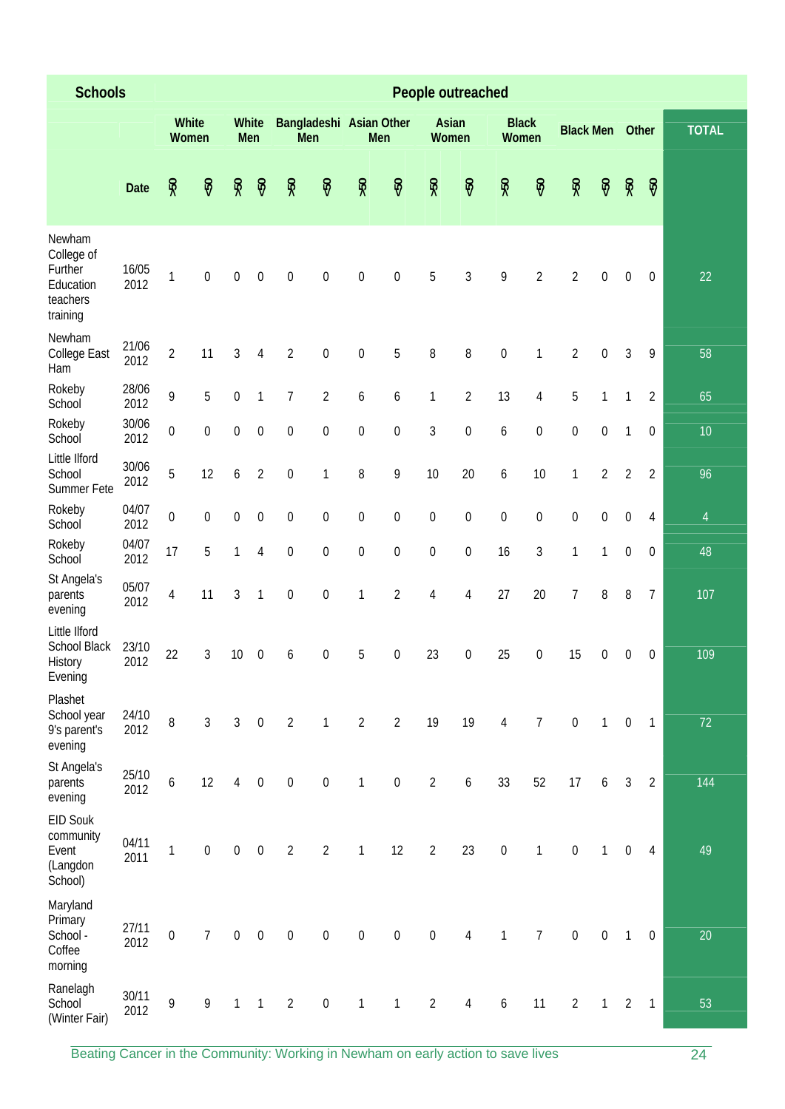| <b>Schools</b>                                                       |               |                  |                  |                  |                     |                  |                         |                  | People outreached |                  |                  |                  |                       |                  |                  |                  |                  |                 |  |
|----------------------------------------------------------------------|---------------|------------------|------------------|------------------|---------------------|------------------|-------------------------|------------------|-------------------|------------------|------------------|------------------|-----------------------|------------------|------------------|------------------|------------------|-----------------|--|
|                                                                      |               | White<br>Women   |                  |                  | <b>White</b><br>Men | Men              | Bangladeshi Asian Other |                  | Men               | Asian<br>Women   |                  |                  | <b>Black</b><br>Women | <b>Black Men</b> |                  |                  | Other            | <b>TOTAL</b>    |  |
|                                                                      | Date          | 50 <sub>5</sub>  | $-50$            | 55 <sub>2</sub>  | $\overline{50}$     | 50 <sub>5</sub>  | $-50$                   | 50 <sub>5</sub>  | $-50$             | 50 <sub>5</sub>  | $-50$            | 50 <sub>5</sub>  | $-50$                 | 50 <sub>5</sub>  | $\overline{50}$  | 50 <sub>5</sub>  | $-50$            |                 |  |
| Newham<br>College of<br>Further<br>Education<br>teachers<br>training | 16/05<br>2012 | $\mathbf{1}$     | $\boldsymbol{0}$ | $\boldsymbol{0}$ | $\boldsymbol{0}$    | $\boldsymbol{0}$ | $\boldsymbol{0}$        | $\boldsymbol{0}$ | $\mathbf 0$       | 5                | 3                | 9                | $\overline{2}$        | $\overline{2}$   | $\boldsymbol{0}$ | $\mathbf 0$      | $\boldsymbol{0}$ | 22              |  |
| Newham<br>College East<br>Ham                                        | 21/06<br>2012 | $\overline{2}$   | 11               | $\mathfrak{Z}$   | $\sqrt{4}$          | $\sqrt{2}$       | $\boldsymbol{0}$        | $\boldsymbol{0}$ | 5                 | 8                | 8                | $\boldsymbol{0}$ | 1                     | $\overline{2}$   | $\boldsymbol{0}$ | $\overline{3}$   | 9                | 58              |  |
| Rokeby<br>School                                                     | 28/06<br>2012 | 9                | 5                | $\boldsymbol{0}$ | 1                   | $\overline{7}$   | $\overline{2}$          | 6                | 6                 | 1                | $\overline{2}$   | 13               | $\overline{4}$        | 5                | 1                | 1                | $\overline{2}$   | 65              |  |
| Rokeby<br>School                                                     | 30/06<br>2012 | $\boldsymbol{0}$ | $\boldsymbol{0}$ | $\boldsymbol{0}$ | $\boldsymbol{0}$    | $\boldsymbol{0}$ | $\boldsymbol{0}$        | $\boldsymbol{0}$ | $\boldsymbol{0}$  | 3                | $\boldsymbol{0}$ | 6                | $\boldsymbol{0}$      | $\boldsymbol{0}$ | $\boldsymbol{0}$ | $\mathbf{1}$     | $\boldsymbol{0}$ | 10 <sup>°</sup> |  |
| Little Ilford<br>School<br>Summer Fete                               | 30/06<br>2012 | 5                | 12               | 6                | $\overline{2}$      | $\mathbf 0$      | 1                       | 8                | 9                 | 10               | 20               | 6                | 10                    | 1                | $\overline{2}$   | $\overline{2}$   | $\overline{2}$   | 96              |  |
| Rokeby<br>School                                                     | 04/07<br>2012 | $\boldsymbol{0}$ | $\boldsymbol{0}$ | $\boldsymbol{0}$ | $\boldsymbol{0}$    | $\boldsymbol{0}$ | $\boldsymbol{0}$        | $\boldsymbol{0}$ | $\boldsymbol{0}$  | $\boldsymbol{0}$ | $\boldsymbol{0}$ | $\boldsymbol{0}$ | $\boldsymbol{0}$      | $\boldsymbol{0}$ | $\boldsymbol{0}$ | $\mathbf 0$      | 4                | $\overline{4}$  |  |
| Rokeby<br>School                                                     | 04/07<br>2012 | 17               | 5                | 1                | $\sqrt{4}$          | $\boldsymbol{0}$ | $\boldsymbol{0}$        | $\boldsymbol{0}$ | $\boldsymbol{0}$  | $\mathbf 0$      | $\boldsymbol{0}$ | 16               | 3                     | 1                | 1                | $\mathbf 0$      | $\mathbf 0$      | 48              |  |
| St Angela's<br>parents<br>evening                                    | 05/07<br>2012 | 4                | 11               | 3                | $\mathbf{1}$        | $\boldsymbol{0}$ | $\boldsymbol{0}$        | 1                | $\overline{2}$    | 4                | 4                | 27               | 20                    | 7                | 8                | 8                | 7                | 107             |  |
| Little Ilford<br>School Black<br>History<br>Evening                  | 23/10<br>2012 | 22               | 3                | 10               | $\boldsymbol{0}$    | 6                | $\boldsymbol{0}$        | 5                | $\boldsymbol{0}$  | 23               | $\boldsymbol{0}$ | 25               | $\boldsymbol{0}$      | 15               | $\boldsymbol{0}$ | $\mathbf 0$      | $\boldsymbol{0}$ | 109             |  |
| Plashet<br>School year<br>9's parent's<br>evening                    | 24/10<br>2012 | 8                | $\mathfrak{Z}$   | $\mathfrak{Z}$   | $\boldsymbol{0}$    | $\sqrt{2}$       | $\mathbf{1}$            | $\overline{2}$   | $\overline{2}$    | 19               | 19               | 4                | $\overline{7}$        | $\boldsymbol{0}$ | $\mathbf{1}$     | $\boldsymbol{0}$ | $\mathbf{1}$     | 72              |  |
| St Angela's<br>parents<br>evening                                    | 25/10<br>2012 | $\boldsymbol{6}$ | 12               | $\overline{4}$   | $\boldsymbol{0}$    | $\boldsymbol{0}$ | $\boldsymbol{0}$        | $\mathbf{1}$     | $\boldsymbol{0}$  | $\overline{2}$   | 6                | 33               | 52                    | 17               | $\boldsymbol{6}$ | $\mathfrak{Z}$   | $\overline{2}$   | 144             |  |
| EID Souk<br>community<br>Event<br>(Langdon<br>School)                | 04/11<br>2011 | $\mathbf{1}$     | $\boldsymbol{0}$ | $\boldsymbol{0}$ | $\boldsymbol{0}$    | $\sqrt{2}$       | $\overline{2}$          | $\mathbf{1}$     | 12                | $\overline{2}$   | 23               | $\boldsymbol{0}$ | $\mathbf{1}$          | $\boldsymbol{0}$ | $\mathbf{1}$     | $\boldsymbol{0}$ | $\overline{4}$   | 49              |  |
| Maryland<br>Primary<br>School -<br>Coffee<br>morning                 | 27/11<br>2012 | $\boldsymbol{0}$ | $\overline{7}$   | $\boldsymbol{0}$ | $\boldsymbol{0}$    | $\boldsymbol{0}$ | $\boldsymbol{0}$        | $\boldsymbol{0}$ | $\boldsymbol{0}$  | $\boldsymbol{0}$ | $\overline{4}$   | $\mathbf{1}$     | $\overline{7}$        | $\boldsymbol{0}$ | $\boldsymbol{0}$ | $\mathbf{1}$     | $\boldsymbol{0}$ | 20              |  |
| Ranelagh<br>School<br>(Winter Fair)                                  | 30/11<br>2012 | 9                | 9                | $\mathbf{1}$     | $\mathbf{1}$        | $\sqrt{2}$       | $\boldsymbol{0}$        | 1                | $\mathbf{1}$      | $\overline{2}$   | $\overline{4}$   | 6                | 11                    | $\overline{2}$   | $\mathbf{1}$     | $\overline{2}$   | $\mathbf{1}$     | 53              |  |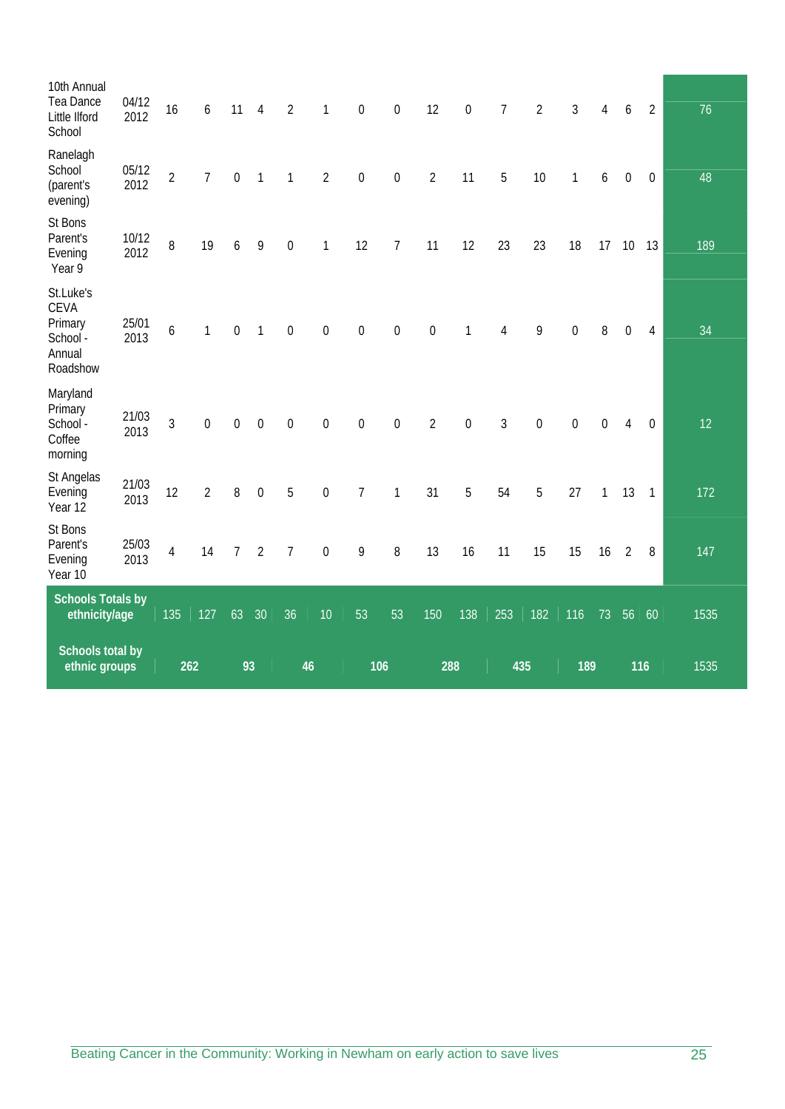| Schools total by<br>ethnic groups                                     |               | 262            |                  | 93               |                | 46             |                  | 106              |                  | 288            |                  | 435            |                | 189              |                  |                  | 116            | 1535 |
|-----------------------------------------------------------------------|---------------|----------------|------------------|------------------|----------------|----------------|------------------|------------------|------------------|----------------|------------------|----------------|----------------|------------------|------------------|------------------|----------------|------|
| <b>Schools Totals by</b><br>ethnicity/age                             |               | 135            | 127              | 63               | 30             | 36             | 10               | 53               | 53               | 150            | 138              | 253            | 182            | 116              | 73               | 56               | 60             | 1535 |
| St Bons<br>Parent's<br>Evening<br>Year 10                             | 25/03<br>2013 | $\overline{4}$ | 14               | $\overline{7}$   | $\overline{2}$ | $\overline{7}$ | $\boldsymbol{0}$ | 9                | 8                | 13             | 16               | 11             | 15             | 15               | 16               | $\overline{2}$   | 8              | 147  |
| St Angelas<br>Evening<br>Year 12                                      | 21/03<br>2013 | 12             | $\overline{2}$   | 8                | $\mathbf 0$    | 5              | $\boldsymbol{0}$ | $\overline{7}$   | 1                | 31             | 5                | 54             | 5              | 27               | 1                | 13               | $\overline{1}$ | 172  |
| Maryland<br>Primary<br>School -<br>Coffee<br>morning                  | 21/03<br>2013 | $\overline{3}$ | $\boldsymbol{0}$ | $\mathbf 0$      | $\mathbf 0$    | $\overline{0}$ | $\boldsymbol{0}$ | $\boldsymbol{0}$ | $\mathbf 0$      | $\overline{2}$ | $\mathbf 0$      | 3              | $\mathbf 0$    | $\mathbf 0$      | $\boldsymbol{0}$ | 4                | $\mathbf 0$    | 12   |
| St.Luke's<br><b>CEVA</b><br>Primary<br>School -<br>Annual<br>Roadshow | 25/01<br>2013 | 6              | $\mathbf{1}$     | $\mathbf 0$      | $\mathbf{1}$   | $\mathbf 0$    | $\boldsymbol{0}$ | $\boldsymbol{0}$ | $\boldsymbol{0}$ | $\mathbf 0$    | 1                | 4              | 9              | $\boldsymbol{0}$ | 8                | $\mathbf 0$      | $\overline{4}$ | 34   |
| St Bons<br>Parent's<br>Evening<br>Year 9                              | 10/12<br>2012 | 8              | 19               | 6                | 9              | $\mathbf 0$    | 1                | 12               | $\overline{7}$   | 11             | 12               | 23             | 23             | 18               | 17               | 10               | 13             | 189  |
| Ranelagh<br>School<br>(parent's<br>evening)                           | 05/12<br>2012 | $\overline{2}$ | $\overline{7}$   | $\boldsymbol{0}$ | $\mathbf{1}$   | $\mathbf{1}$   | $\sqrt{2}$       | $\boldsymbol{0}$ | $\boldsymbol{0}$ | $\overline{2}$ | 11               | 5              | 10             | $\mathbf{1}$     | 6                | $\boldsymbol{0}$ | $\overline{0}$ | 48   |
| 10th Annual<br>Tea Dance<br>Little Ilford<br>School                   | 04/12<br>2012 | 16             | 6                | 11               | $\overline{4}$ | $\overline{2}$ | $\mathbf{1}$     | $\boldsymbol{0}$ | $\boldsymbol{0}$ | 12             | $\boldsymbol{0}$ | $\overline{7}$ | $\overline{2}$ | $\overline{3}$   | 4                | 6                | $\overline{2}$ | 76   |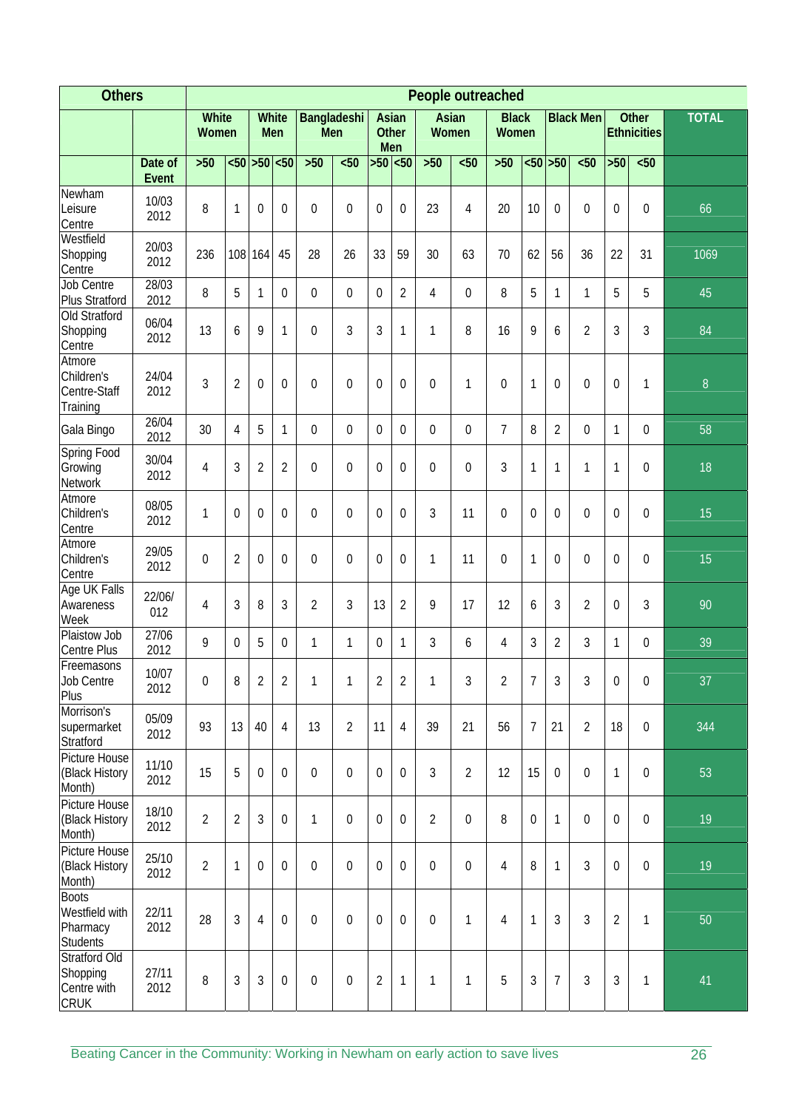| <b>Others</b>                                                 |                  |                |                       |                |                     |                    |                |                |                     |                |                  | People outreached     |                  |                  |                  |                  |                                    |                  |
|---------------------------------------------------------------|------------------|----------------|-----------------------|----------------|---------------------|--------------------|----------------|----------------|---------------------|----------------|------------------|-----------------------|------------------|------------------|------------------|------------------|------------------------------------|------------------|
|                                                               |                  |                | White<br><b>Women</b> |                | <b>White</b><br>Men | Bangladeshi<br>Men |                | Asian          | <b>Other</b><br>Men | Asian<br>Women |                  | <b>Black</b><br>Women |                  |                  | <b>Black Men</b> |                  | <b>Other</b><br><b>Ethnicities</b> | <b>TOTAL</b>     |
|                                                               | Date of<br>Event | $>50$          | $50$                  | $>50$          | $50$                | $>50$              | <50            |                | $>50$ < 50          | $>50$          | $50$             | $>50$                 |                  | $50$ > 50        | $50$             | $>50$            | $50$                               |                  |
| Newham<br>Leisure<br>Centre                                   | 10/03<br>2012    | 8              | 1                     | $\mathbf 0$    | $\boldsymbol{0}$    | 0                  | $\mathbf 0$    | 0              | $\mathbf 0$         | 23             | 4                | 20                    | 10               | 0                | $\mathbf 0$      | $\mathbf 0$      | 0                                  | 66               |
| Westfield<br>Shopping<br>Centre                               | 20/03<br>2012    | 236            | 108                   | 164            | 45                  | 28                 | 26             | 33             | 59                  | 30             | 63               | 70                    | 62               | 56               | 36               | 22               | 31                                 | 1069             |
| <b>Job Centre</b><br>Plus Stratford                           | 28/03<br>2012    | 8              | 5                     | 1              | $\boldsymbol{0}$    | 0                  | $\mathbf 0$    | 0              | $\overline{2}$      | 4              | $\boldsymbol{0}$ | 8                     | 5                | $\mathbf{1}$     | 1                | 5                | 5                                  | 45               |
| Old Stratford<br>Shopping<br>Centre                           | 06/04<br>2012    | 13             | 6                     | 9              | $\mathbf{1}$        | $\theta$           | 3              | 3              | $\mathbf{1}$        | 1              | 8                | 16                    | 9                | 6                | $\overline{2}$   | 3                | 3                                  | 84               |
| Atmore<br>Children's<br>Centre-Staff<br>Training              | 24/04<br>2012    | 3              | $\overline{2}$        | $\mathbf 0$    | $\boldsymbol{0}$    | $\theta$           | 0              | 0              | $\overline{0}$      | $\mathbf 0$    | $\mathbf{1}$     | $\mathbf 0$           | $\mathbf{1}$     | $\boldsymbol{0}$ | 0                | $\boldsymbol{0}$ | 1                                  | $\boldsymbol{8}$ |
| Gala Bingo                                                    | 26/04<br>2012    | 30             | 4                     | 5              | $\mathbf{1}$        | 0                  | $\mathbf 0$    | 0              | $\mathbf 0$         | 0              | $\mathbf 0$      | 7                     | 8                | $\overline{2}$   | 0                | 1                | 0                                  | 58               |
| Spring Food<br>Growing<br>Network                             | 30/04<br>2012    | 4              | 3                     | $\overline{2}$ | $\overline{2}$      | 0                  | $\mathbf 0$    | 0              | $\mathbf 0$         | $\mathbf 0$    | $\boldsymbol{0}$ | 3                     | 1                | 1                | 1                | $\mathbf{1}$     | $\overline{0}$                     | 18               |
| Atmore<br>Children's<br>Centre                                | 08/05<br>2012    | 1              | $\mathbf 0$           | $\mathbf 0$    | $\boldsymbol{0}$    | 0                  | $\mathbf 0$    | $\mathbf 0$    | $\mathbf 0$         | 3              | 11               | $\mathbf 0$           | $\boldsymbol{0}$ | 0                | $\mathbf 0$      | $\boldsymbol{0}$ | $\overline{0}$                     | 15               |
| Atmore<br>Children's<br>Centre                                | 29/05<br>2012    | $\mathbf 0$    | $\overline{2}$        | 0              | $\boldsymbol{0}$    | $\mathbf 0$        | $\mathbf 0$    | $\mathbf 0$    | $\mathbf 0$         | 1              | 11               | $\mathbf 0$           | 1                | 0                | $\mathbf 0$      | $\boldsymbol{0}$ | $\mathbf{0}$                       | 15               |
| Age UK Falls<br>Awareness<br>Week                             | 22/06/<br>012    | 4              | 3                     | 8              | 3                   | $\overline{2}$     | $\mathfrak{Z}$ | 13             | $\overline{2}$      | 9              | 17               | 12                    | 6                | 3                | $\overline{2}$   | $\boldsymbol{0}$ | 3                                  | 90               |
| Plaistow Job<br><b>Centre Plus</b>                            | 27/06<br>2012    | 9              | $\Omega$              | 5              | $\overline{0}$      | 1                  | $\mathbf{1}$   | 0              | 1                   | 3              | 6                | 4                     | 3                | $\overline{2}$   | 3                | $\mathbf{1}$     | $\mathbf 0$                        | 39               |
| Freemasons<br><b>Job Centre</b><br>Plus                       | 10/07<br>2012    | $\overline{0}$ | 8                     | 2              | 2                   |                    |                | 2              | 2                   |                | 3                | 2                     |                  | 3                | 3                | $\overline{0}$   | $\bf{0}$                           | 37               |
| Morrison's<br>supermarket<br>Stratford                        | 05/09<br>2012    | 93             | 13                    | 40             | $\overline{4}$      | 13                 | $\overline{2}$ | 11             | $\overline{4}$      | 39             | 21               | 56                    | $\overline{7}$   | 21               | $\overline{2}$   | 18               | 0                                  | 344              |
| Picture House<br>(Black History<br>Month)                     | 11/10<br>2012    | 15             | 5                     | $\overline{0}$ | $\mathbf 0$         | $\overline{0}$     | $\mathbf 0$    | $\mathbf 0$    | $\overline{0}$      | 3              | $\overline{2}$   | 12                    | 15               | $\boldsymbol{0}$ | $\overline{0}$   | $\mathbf{1}$     | $\mathbf 0$                        | 53               |
| Picture House<br>(Black History<br>Month)                     | 18/10<br>2012    | $\overline{2}$ | $\overline{2}$        | 3              | $\mathbf 0$         | 1                  | $\mathbf 0$    | $\mathbf 0$    | $\mathbf 0$         | $\overline{2}$ | $\boldsymbol{0}$ | 8                     | $\overline{0}$   | $\mathbf{1}$     | $\mathbf 0$      | $\mathbf 0$      | $\mathbf 0$                        | 19               |
| Picture House<br>(Black History<br>Month)                     | 25/10<br>2012    | $\overline{2}$ | $\mathbf{1}$          | $\theta$       | $\mathbf{0}$        | 0                  | $\mathbf 0$    | $\mathbf 0$    | $\overline{0}$      | $\mathbf 0$    | $\boldsymbol{0}$ | 4                     | 8                | $\mathbf{1}$     | 3                | $\overline{0}$   | 0                                  | 19               |
| <b>Boots</b><br>Westfield with<br>Pharmacy<br><b>Students</b> | 22/11<br>2012    | 28             | 3                     | $\overline{4}$ | $\mathbf 0$         | $\overline{0}$     | $\mathbf 0$    | $\mathbf 0$    | $\mathbf 0$         | $\mathbf 0$    | $\mathbf{1}$     | $\overline{4}$        | $\mathbf{1}$     | 3                | 3                | $\overline{2}$   | 1                                  | 50               |
| Stratford Old<br>Shopping<br>Centre with<br><b>CRUK</b>       | 27/11<br>2012    | 8              | $\overline{3}$        | 3              | $\mathbf 0$         | $\theta$           | $\mathbf 0$    | $\overline{2}$ | $\mathbf{1}$        | $\mathbf{1}$   | $\mathbf{1}$     | 5                     | 3                | $\overline{7}$   | 3                | $\mathfrak{Z}$   | 1                                  | 41               |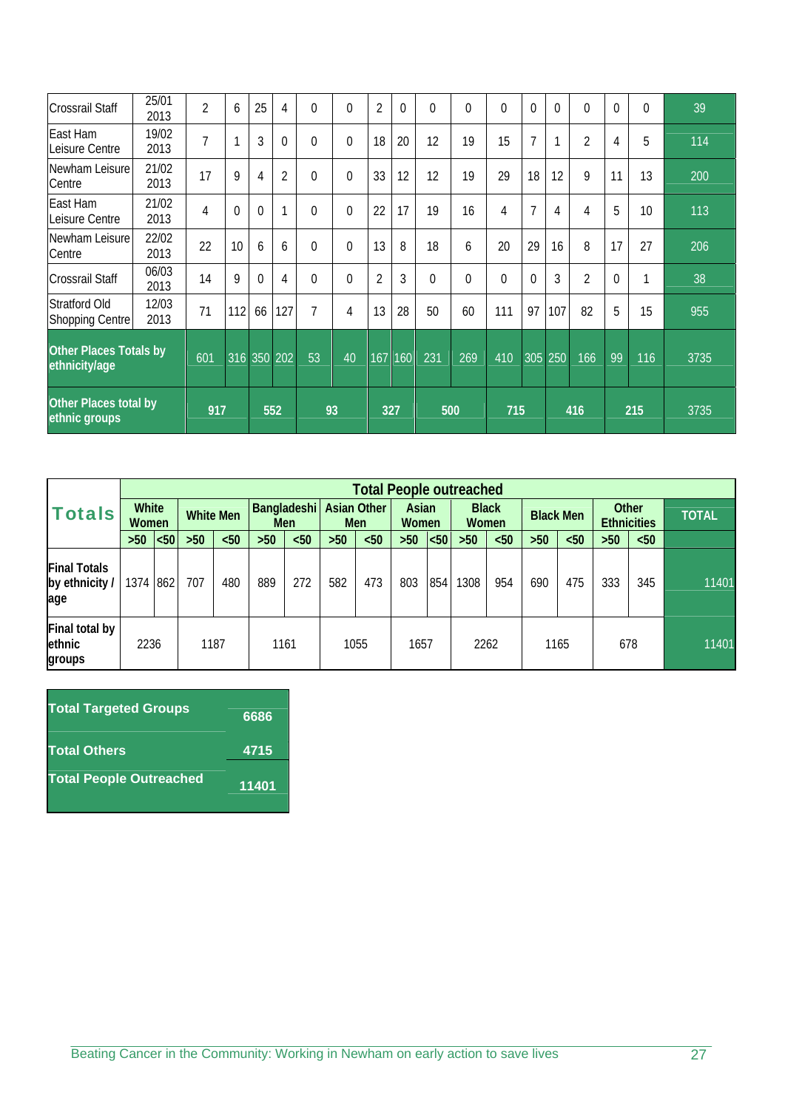| <b>Crossrail Staff</b>                         | 25/01<br>2013 | $\overline{2}$ | 6        | 25             | 4           | 0        | $\Omega$ | $\overline{2}$ | $\Omega$ | $\Omega$ | $\Omega$ | $\theta$ | $\Omega$       | $\Omega$       | $\Omega$       | $\Omega$ | $\Omega$ | 39   |
|------------------------------------------------|---------------|----------------|----------|----------------|-------------|----------|----------|----------------|----------|----------|----------|----------|----------------|----------------|----------------|----------|----------|------|
| East Ham<br>Leisure Centre                     | 19/02<br>2013 | 7              | 1        | 3              | $\Omega$    | $\Omega$ | $\Omega$ | 18             | 20       | 12       | 19       | 15       | $\overline{7}$ | $\mathbf{1}$   | $\overline{2}$ | 4        | 5        | 114  |
| Newham Leisure<br>Centre                       | 21/02<br>2013 | 17             | 9        | $\overline{4}$ | 2           | 0        | $\Omega$ | 33             | 12       | 12       | 19       | 29       | 18             | 12             | 9              | 11       | 13       | 200  |
| East Ham<br>Leisure Centre                     | 21/02<br>2013 | 4              | $\theta$ | $\overline{0}$ |             | $\Omega$ | $\Omega$ | 22             | 17       | 19       | 16       | 4        | $\overline{7}$ | $\overline{4}$ | $\overline{4}$ | 5        | 10       | 113  |
| Newham Leisure<br>Centre                       | 22/02<br>2013 | 22             | 10       | 6              | 6           | 0        | $\Omega$ | 13             | 8        | 18       | 6        | 20       | 29             | 16             | 8              | 17       | 27       | 206  |
| <b>Crossrail Staff</b>                         | 06/03<br>2013 | 14             | 9        | $\theta$       | 4           | 0        | $\Omega$ | $\overline{2}$ | 3        | $\Omega$ | $\Omega$ | $\theta$ | $\theta$       | $\mathfrak{Z}$ | $\overline{2}$ | $\Omega$ |          | 38   |
| <b>Stratford Old</b><br><b>Shopping Centre</b> | 12/03<br>2013 | 71             | 112      | 66             | 127         | 7        | 4        | 13             | 28       | 50       | 60       | 111      | 97             | 107            | 82             | 5        | 15       | 955  |
| Other Places Totals by<br>ethnicity/age        |               | 601            |          |                | 316 350 202 | 53       | 40       | 167            | 160      | 231      | 269      | 410      | 305            | 250            | 166            | 99       | 116      | 3735 |
| <b>Other Places total by</b><br>ethnic groups  |               | 917            |          | 552            |             |          | 93       | 327            |          | 500      |          | 715      |                |                | 416            |          | 215      | 3735 |

|                                              |          |     |                  |      |                    |      |                                  | <b>Total People outreached</b> |                |      |                              |      |                  |      |                             |      |              |
|----------------------------------------------|----------|-----|------------------|------|--------------------|------|----------------------------------|--------------------------------|----------------|------|------------------------------|------|------------------|------|-----------------------------|------|--------------|
| <b>White</b><br><b>Totals</b><br>Women       |          |     | <b>White Men</b> |      | Bangladeshi<br>Men |      | <b>Asian Other</b><br><b>Men</b> |                                | Asian<br>Women |      | <b>Black</b><br><b>Women</b> |      | <b>Black Men</b> |      | Other<br><b>Ethnicities</b> |      | <b>TOTAL</b> |
|                                              | $>50$    | 50< | $>50$            | $50$ | $>50$              | $50$ | $>50$                            | $50$                           | >50            | $50$ | $>50$                        | $50$ | $>50$            | $50$ | $>50$                       | $50$ |              |
| <b>Final Totals</b><br>by ethnicity /<br>age | 1374 862 |     | 707              | 480  | 889                | 272  | 582                              | 473                            | 803            | 854  | 308                          | 954  | 690              | 475  | 333                         | 345  | 11401        |
| Final total by<br>ethnic<br>groups           | 2236     |     | 1187             |      | 1161               |      |                                  | 1055                           | 1657           |      | 2262                         |      |                  | 1165 |                             | 678  | 11401        |

| <b>Total Targeted Groups</b>   | 6686  |
|--------------------------------|-------|
| <b>Total Others</b>            | 4715  |
| <b>Total People Outreached</b> | 11401 |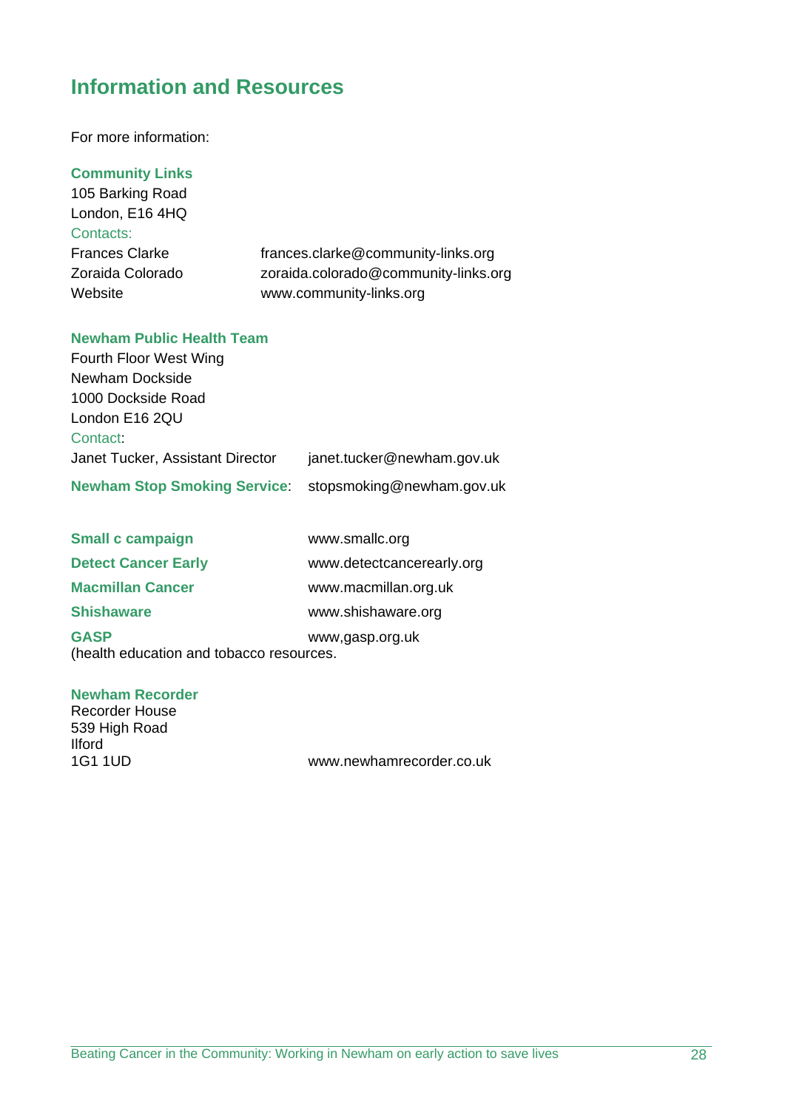## **Information and Resources**

For more information:

**Community Links** 

105 Barking Road London, E16 4HQ Contacts:

Frances Clarke frances.clarke@community-links.org Zoraida Colorado zoraida.colorado@community-links.org Website www.community-links.org

## **Newham Public Health Team**

| Fourth Floor West Wing                                 |                            |
|--------------------------------------------------------|----------------------------|
| Newham Dockside                                        |                            |
| 1000 Dockside Road                                     |                            |
| London E16 2QU                                         |                            |
| Contact:                                               |                            |
| Janet Tucker, Assistant Director                       | janet.tucker@newham.gov.uk |
| Newham Stop Smoking Service: stopsmoking@newham.gov.uk |                            |

| <b>Small c campaign</b>                                 | www.smallc.org            |
|---------------------------------------------------------|---------------------------|
| <b>Detect Cancer Early</b>                              | www.detectcancerearly.org |
| <b>Macmillan Cancer</b>                                 | www.macmillan.org.uk      |
| <b>Shishaware</b>                                       | www.shishaware.org        |
| <b>GASP</b><br>(health education and tobacco resources. | www,gasp.org.uk           |

## **Newham Recorder**

Recorder House 539 High Road Ilford<br>1G1 1UD

www.newhamrecorder.co.uk